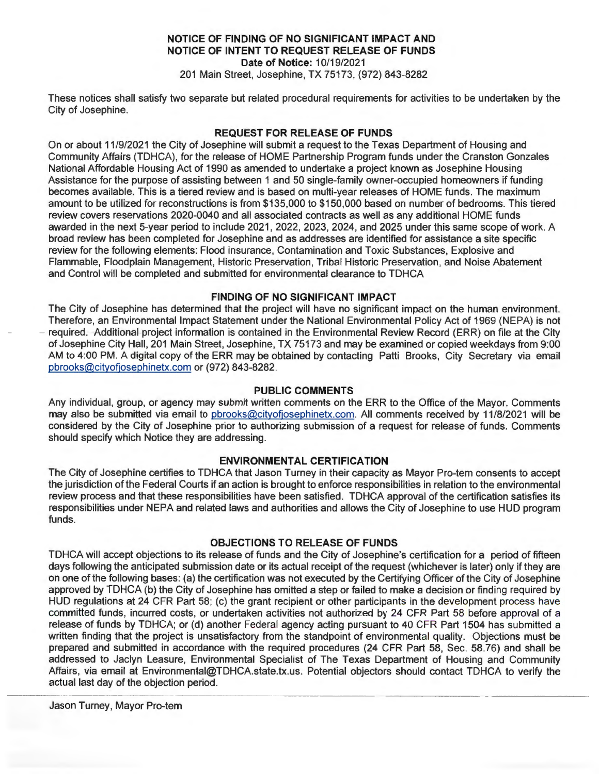# **NOTICE OF FINDING OF NO SIGNIFICANT IMPACT AND NOTICE OF INTENT TO REQUEST RELEASE OF FUNDS Date of Notice:** 10/19/2021

201 Main Street, Josephine, TX 75173, (972) 843-8282

These notices shall satisfy two separate but related procedural requirements for activities to be undertaken by the City of Josephine.

# **REQUEST FOR RELEASE OF FUNDS**

On or about 11/9/2021 the City of Josephine will submit a request to the Texas Department of Housing and Community Affairs (TDHCA), for the release of HOME Partnership Program funds under the Cranston Gonzales National Affordable Housing Act of 1990 as amended to undertake a project known as Josephine Housing Assistance for the purpose of assisting between 1 and 50 single-family owner-occupied homeowners if funding becomes available. This is a tiered review and is based on multi-year releases of HOME funds. The maximum amount to be utilized for reconstructions is from \$135,000 to \$150,000 based on number of bedrooms. This tiered review covers reservations 2020-0040 and all associated contracts as well as any additional HOME funds awarded in the next 5-year period to include 2021 , 2022, 2023, 2024, and 2025 under this same scope of work. A broad review has been completed for Josephine and as addresses are identified for assistance a site specific review for the following elements: Flood insurance, Contamination and Toxic Substances, Explosive and Flammable, Floodplain Management, Historic Preservation, Tribal Historic Preservation, and Noise Abatement and Control will be completed and submitted for environmental clearance to TDHCA

# **FINDING OF NO SIGNIFICANT IMPACT**

The City of Josephine has determined that the project will have no significant impact on the human environment. Therefore, an Environmental Impact Statement under the National Environmental Policy Act of 1969 (NEPA) is not required. Additional-project information is contained in the Environmental Review Record (ERR) on file at the City of Josephine City Hall, 201 Main Street, Josephine, TX 75173 and may be examined or copied weekdays from 9:00 AM to 4:00 PM. A digital copy of the ERR may be obtained by contacting Patti Brooks, City Secretary via email pbrooks@cityofjosephinetx.com or (972) 843-8282.

## **PUBLIC COMMENTS**

Any individual, group, or agency may submit written comments on the ERR to the Office of the Mayor. Comments may also be submitted via email to pbrooks@cityofjosephinetx.com. All comments received by 11/8/2021 will be considered by the City of Josephine prior to authorizing submission of a request for release of funds. Comments should specify which Notice they are addressing.

# **ENVIRONMENTAL CERTIFICATION**

The City of Josephine certifies to TDHCA that Jason Turney in their capacity as Mayor Pro-tern consents to accept the jurisdiction of the Federal Courts if an action is brought to enforce responsibilities in relation to the environmental review process and that these responsibilities have been satisfied. TDHCA approval of the certification satisfies its responsibilities under NEPA and related laws and authorities and allows the City of Josephine to use HUD program funds.

## **OBJECTIONS TO RELEASE OF FUNDS**

TDHCA will accept objections to its release of funds and the City of Josephine's certification for a period of fifteen days following the anticipated submission date or its actual receipt of the request (whichever is later) only if they are on one of the following bases: (a) the certification was not executed by the Certifying Officer of the City of Josephine approved by TDHCA (b) the City of Josephine has omitted a step or failed to make a decision or finding required by HUD regulations at 24 CFR Part 58; (c) the grant recipient or other participants in the development process have committed funds, incurred costs, or undertaken activities not authorized by 24 CFR Part 58 before approval of a release of funds by TDHCA; or (d) another Federal agency acting pursuant to 40 CFR Part 1504 has submitted a written finding that the project is unsatisfactory from the standpoint of environmental quality. Objections must be prepared and submitted in accordance with the required procedures (24 CFR Part 58, Sec. 58.76) and shall be addressed to Jaclyn Leasure, Environmental Specialist of The Texas Department of Housing and Community Affairs, via email at Environmental@TDHCA.state.tx.us. Potential objectors should contact TDHCA to verify the actual last day of the objection period.

Jason Turney, Mayor Pro-tern